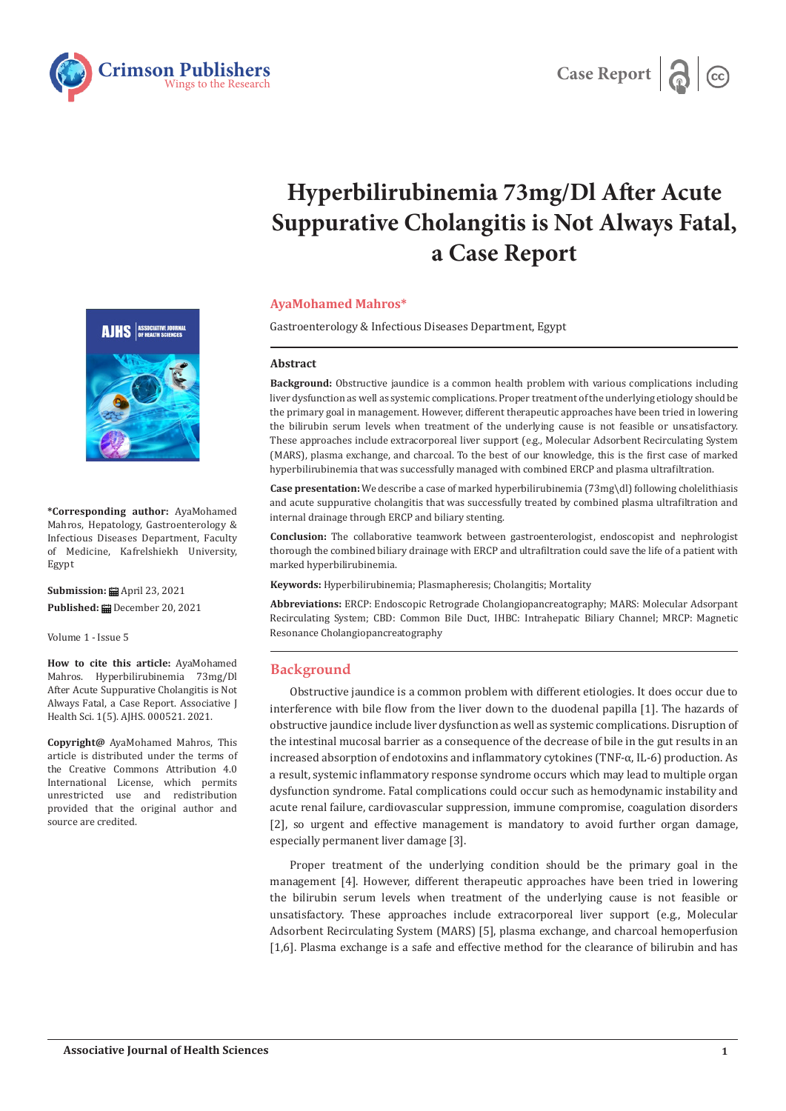



# **Hyperbilirubinemia 73mg/Dl After Acute Suppurative Cholangitis is Not Always Fatal, a Case Report**

## **AyaMohamed Mahros\***

Gastroenterology & Infectious Diseases Department, Egypt

#### **Abstract**

**Background:** Obstructive jaundice is a common health problem with various complications including liver dysfunction as well as systemic complications. Proper treatment of the underlying etiology should be the primary goal in management. However, different therapeutic approaches have been tried in lowering the bilirubin serum levels when treatment of the underlying cause is not feasible or unsatisfactory. These approaches include extracorporeal liver support (e.g., Molecular Adsorbent Recirculating System (MARS), plasma exchange, and charcoal. To the best of our knowledge, this is the first case of marked hyperbilirubinemia that was successfully managed with combined ERCP and plasma ultrafiltration.

**Case presentation:** We describe a case of marked hyperbilirubinemia (73mg\dl) following cholelithiasis and acute suppurative cholangitis that was successfully treated by combined plasma ultrafiltration and internal drainage through ERCP and biliary stenting.

**Conclusion:** The collaborative teamwork between gastroenterologist, endoscopist and nephrologist thorough the combined biliary drainage with ERCP and ultrafiltration could save the life of a patient with marked hyperbilirubinemia.

**Keywords:** Hyperbilirubinemia; Plasmapheresis; Cholangitis; Mortality

**Abbreviations:** ERCP: Endoscopic Retrograde Cholangiopancreatography; MARS: Molecular Adsorpant Recirculating System; CBD: Common Bile Duct, IHBC: Intrahepatic Biliary Channel; MRCP: Magnetic Resonance Cholangiopancreatography

## **Background**

Obstructive jaundice is a common problem with different etiologies. It does occur due to interference with bile flow from the liver down to the duodenal papilla [1]. The hazards of obstructive jaundice include liver dysfunction as well as systemic complications. Disruption of the intestinal mucosal barrier as a consequence of the decrease of bile in the gut results in an increased absorption of endotoxins and inflammatory cytokines (TNF-α, IL-6) production. As a result, systemic inflammatory response syndrome occurs which may lead to multiple organ dysfunction syndrome. Fatal complications could occur such as hemodynamic instability and acute renal failure, cardiovascular suppression, immune compromise, coagulation disorders [2], so urgent and effective management is mandatory to avoid further organ damage, especially permanent liver damage [3].

Proper treatment of the underlying condition should be the primary goal in the management [4]. However, different therapeutic approaches have been tried in lowering the bilirubin serum levels when treatment of the underlying cause is not feasible or unsatisfactory. These approaches include extracorporeal liver support (e.g., Molecular Adsorbent Recirculating System (MARS) [5], plasma exchange, and charcoal hemoperfusion [1,6]. Plasma exchange is a safe and effective method for the clearance of bilirubin and has



**\*Corresponding author:** AyaMohamed Mahros, Hepatology, Gastroenterology & Infectious Diseases Department, Faculty of Medicine, Kafrelshiekh University, Egypt

**Submission:** ■ April 23, 2021 **Published:** December 20, 2021

Volume 1 - Issue 5

**How to cite this article:** AyaMohamed Mahros. Hyperbilirubinemia 73mg/Dl After Acute Suppurative Cholangitis is Not Always Fatal, a Case Report. Associative J Health Sci. 1(5). AJHS. 000521. 2021.

**Copyright@** AyaMohamed Mahros, This article is distributed under the terms of the Creative Commons Attribution 4.0 International License, which permits unrestricted use and redistribution provided that the original author and source are credited.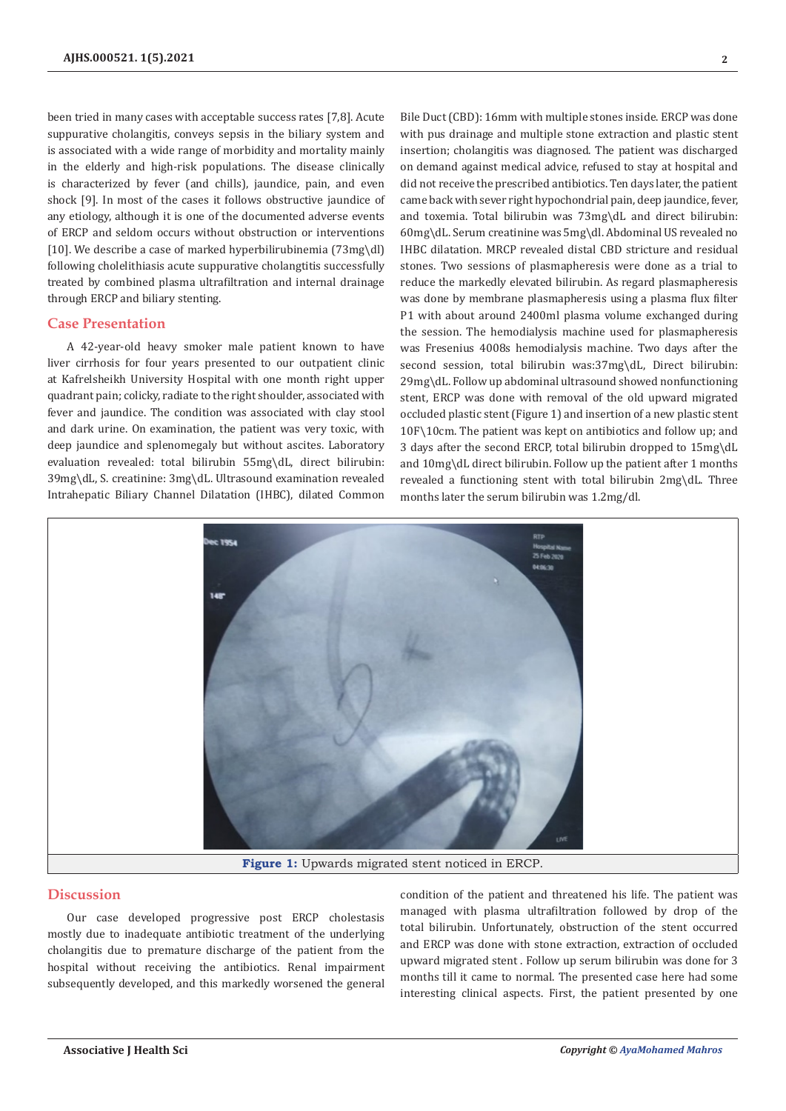been tried in many cases with acceptable success rates [7,8]. Acute suppurative cholangitis, conveys sepsis in the biliary system and is associated with a wide range of morbidity and mortality mainly in the elderly and high-risk populations. The disease clinically is characterized by fever (and chills), jaundice, pain, and even shock [9]. In most of the cases it follows obstructive jaundice of any etiology, although it is one of the documented adverse events of ERCP and seldom occurs without obstruction or interventions [10]. We describe a case of marked hyperbilirubinemia (73mg\dl) following cholelithiasis acute suppurative cholangtitis successfully treated by combined plasma ultrafiltration and internal drainage through ERCP and biliary stenting.

## **Case Presentation**

A 42-year-old heavy smoker male patient known to have liver cirrhosis for four years presented to our outpatient clinic at Kafrelsheikh University Hospital with one month right upper quadrant pain; colicky, radiate to the right shoulder, associated with fever and jaundice. The condition was associated with clay stool and dark urine. On examination, the patient was very toxic, with deep jaundice and splenomegaly but without ascites. Laboratory evaluation revealed: total bilirubin 55mg\dL, direct bilirubin: 39mg\dL, S. creatinine: 3mg\dL. Ultrasound examination revealed Intrahepatic Biliary Channel Dilatation (IHBC), dilated Common

Bile Duct (CBD): 16mm with multiple stones inside. ERCP was done with pus drainage and multiple stone extraction and plastic stent insertion; cholangitis was diagnosed. The patient was discharged on demand against medical advice, refused to stay at hospital and did not receive the prescribed antibiotics. Ten days later, the patient came back with sever right hypochondrial pain, deep jaundice, fever, and toxemia. Total bilirubin was 73mg\dL and direct bilirubin: 60mg\dL. Serum creatinine was 5mg\dl. Abdominal US revealed no IHBC dilatation. MRCP revealed distal CBD stricture and residual stones. Two sessions of plasmapheresis were done as a trial to reduce the markedly elevated bilirubin. As regard plasmapheresis was done by membrane plasmapheresis using a plasma flux filter P1 with about around 2400ml plasma volume exchanged during the session. The hemodialysis machine used for plasmapheresis was Fresenius 4008s hemodialysis machine. Two days after the second session, total bilirubin was:37mg\dL, Direct bilirubin: 29mg\dL. Follow up abdominal ultrasound showed nonfunctioning stent, ERCP was done with removal of the old upward migrated occluded plastic stent (Figure 1) and insertion of a new plastic stent 10F\10cm. The patient was kept on antibiotics and follow up; and 3 days after the second ERCP, total bilirubin dropped to 15mg\dL and 10mg\dL direct bilirubin. Follow up the patient after 1 months revealed a functioning stent with total bilirubin 2mg\dL. Three months later the serum bilirubin was 1.2mg/dl.



## **Discussion**

Our case developed progressive post ERCP cholestasis mostly due to inadequate antibiotic treatment of the underlying cholangitis due to premature discharge of the patient from the hospital without receiving the antibiotics. Renal impairment subsequently developed, and this markedly worsened the general

condition of the patient and threatened his life. The patient was managed with plasma ultrafiltration followed by drop of the total bilirubin. Unfortunately, obstruction of the stent occurred and ERCP was done with stone extraction, extraction of occluded upward migrated stent . Follow up serum bilirubin was done for 3 months till it came to normal. The presented case here had some interesting clinical aspects. First, the patient presented by one